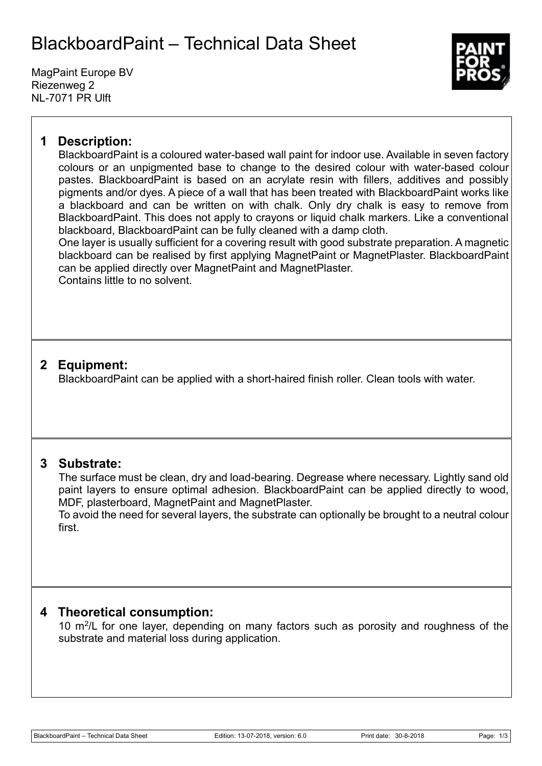# BlackboardPaint – Technical Data Sheet

MagPaint Europe BV Riezenweg 2 NL-7071 PR Ulft



## **1 Description:**

BlackboardPaint is a coloured water-based wall paint for indoor use. Available in seven factory colours or an unpigmented base to change to the desired colour with water-based colour pastes. BlackboardPaint is based on an acrylate resin with fillers, additives and possibly pigments and/or dyes. A piece of a wall that has been treated with BlackboardPaint works like a blackboard and can be written on with chalk. Only dry chalk is easy to remove from BlackboardPaint. This does not apply to crayons or liquid chalk markers. Like a conventional blackboard, BlackboardPaint can be fully cleaned with a damp cloth.

One layer is usually sufficient for a covering result with good substrate preparation. A magnetic blackboard can be realised by first applying MagnetPaint or MagnetPlaster. BlackboardPaint can be applied directly over MagnetPaint and MagnetPlaster. Contains little to no solvent.

# **2 Equipment:**

BlackboardPaint can be applied with a short-haired finish roller. Clean tools with water.

### **3 Substrate:**

The surface must be clean, dry and load-bearing. Degrease where necessary. Lightly sand old paint layers to ensure optimal adhesion. BlackboardPaint can be applied directly to wood, MDF, plasterboard, MagnetPaint and MagnetPlaster.

To avoid the need for several layers, the substrate can optionally be brought to a neutral colour first.

### **4 Theoretical consumption:**

10 m<sup>2</sup>/L for one layer, depending on many factors such as porosity and roughness of the substrate and material loss during application.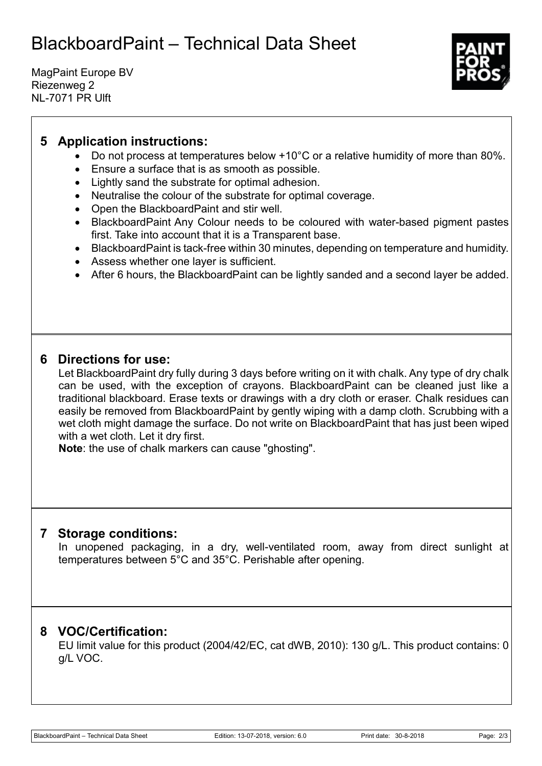# BlackboardPaint – Technical Data Sheet

MagPaint Europe BV Riezenweg 2 NL-7071 PR Ulft



# **5 Application instructions:**

- Do not process at temperatures below +10°C or a relative humidity of more than 80%.
- Ensure a surface that is as smooth as possible.
- Lightly sand the substrate for optimal adhesion.
- Neutralise the colour of the substrate for optimal coverage.
- Open the BlackboardPaint and stir well.
- BlackboardPaint Any Colour needs to be coloured with water-based pigment pastes first. Take into account that it is a Transparent base.
- BlackboardPaint is tack-free within 30 minutes, depending on temperature and humidity.
- Assess whether one layer is sufficient.
- After 6 hours, the BlackboardPaint can be lightly sanded and a second layer be added.

### **6 Directions for use:**

Let BlackboardPaint dry fully during 3 days before writing on it with chalk. Any type of dry chalk can be used, with the exception of crayons. BlackboardPaint can be cleaned just like a traditional blackboard. Erase texts or drawings with a dry cloth or eraser. Chalk residues can easily be removed from BlackboardPaint by gently wiping with a damp cloth. Scrubbing with a wet cloth might damage the surface. Do not write on BlackboardPaint that has just been wiped with a wet cloth. Let it dry first.

**Note**: the use of chalk markers can cause "ghosting".

#### **7 Storage conditions:**

In unopened packaging, in a dry, well-ventilated room, away from direct sunlight at temperatures between 5°C and 35°C. Perishable after opening.

### **8 VOC/Certification:**

EU limit value for this product (2004/42/EC, cat dWB, 2010): 130 g/L. This product contains: 0 g/L VOC.